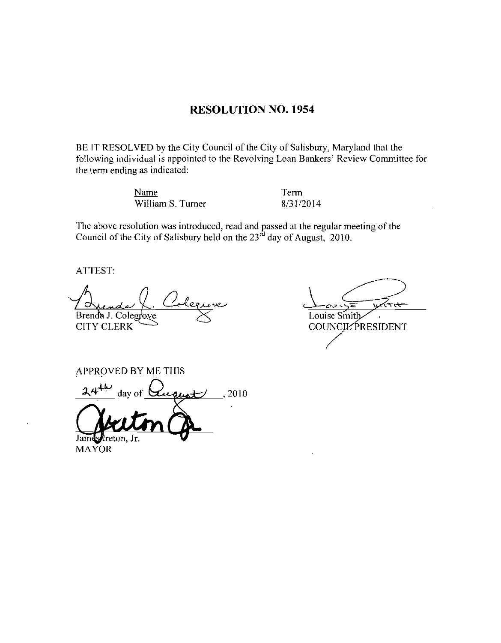### RESOLUTION NO. 1954

BE IT RESOLVED by the City Council of the City of Salisbury, Maryland that the Following individual is appointed to the Revolving Loan Bankers' Review Committee for<br>
the term ending as indicated:<br>
Name William S. Turner 8/31/2014 the term ending as indicated RESOLUTION NO. 1954<br>
BE IT RESOLVED by the City Council of the City of Salisbury, Maryland that the<br>
following individual is appointed to the Revolving Loan Bankers' Review Committee the<br>
the term ending as indicated:<br>
Nam

Name Term

The above resolution was introduced, read and passed at the regular meeting of the Council of the City of Salisbury held on the  $23<sup>rd</sup>$  day of August, 2010.

ATTEST

Brenda J. Colegfove  $\leq$  Louise Smith Junda (Coleenove<br>
ITY CLERK<br>
PPROVED BY ME THIS<br>
24<sup>+11</sup> day of Quont 2010<br>
24<sup>+11</sup> day of Quont 2010

APPROVED BY ME THIS

Jr

MAYOR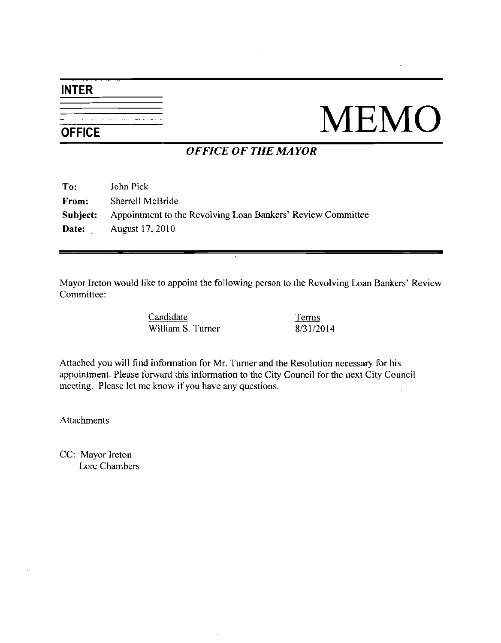## INTER

# $\frac{1}{\frac{1}{\text{OFFICE}}}$  MEMO

## OFFICE OF THE MAYOR

| To:      | John Pick                                                   |
|----------|-------------------------------------------------------------|
| From:    | Sherrell McBride                                            |
| Subject: | Appointment to the Revolving Loan Bankers' Review Committee |
| Date:    | August 17, 2010                                             |

Mayor Ireton would like to appoint the following person to the Revolving Loan Bankers' Review<br>
Committee:<br>
Candidate<br>
William S. Turner 8/31/2014 Committee:

Candidate Terms

Attached you will find information for Mr Turner and the Resolution necessary for his appointment. Please forward this information to the City Council for the next City Council meeting. Please let me know if you have any questions.

Attachments

CC: Mayor Ireton Lore Chambers